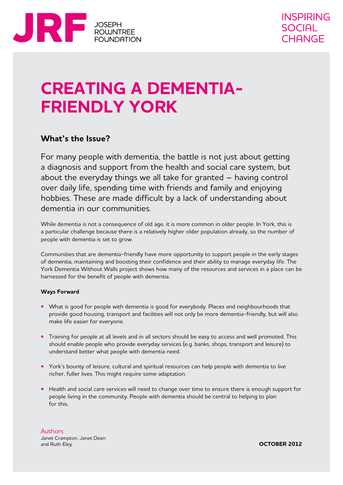

# **Creating a dementiafriendly York**

# **What's the Issue?**

For many people with dementia, the battle is not just about getting a diagnosis and support from the health and social care system, but about the everyday things we all take for granted – having control over daily life, spending time with friends and family and enjoying hobbies. These are made difficult by a lack of understanding about dementia in our communities.

While dementia is not a consequence of old age, it is more common in older people. In York, this is a particular challenge because there is a relatively higher older population already, so the number of people with dementia is set to grow.

Communities that are dementia-friendly have more opportunity to support people in the early stages of dementia, maintaining and boosting their confidence and their ability to manage everyday life. The York Dementia Without Walls project shows how many of the resources and services in a place can be harnessed for the benefit of people with dementia.

#### **Ways Forward**

- What is good for people with dementia is good for everybody. Places and neighbourhoods that provide good housing, transport and facilities will not only be more dementia-friendly, but will also make life easier for everyone.
- **•** Training for people at all levels and in all sectors should be easy to access and well promoted. This should enable people who provide everyday services (e.g. banks, shops, transport and leisure) to understand better what people with dementia need.
- York's bounty of leisure, cultural and spiritual resources can help people with dementia to live richer, fuller lives. This might require some adaptation.
- Health and social care services will need to change over time to ensure there is enough support for people living in the community. People with dementia should be central to helping to plan for this.

Authors Janet Crampton, Janet Dean and Ruth Eley

**October 2012**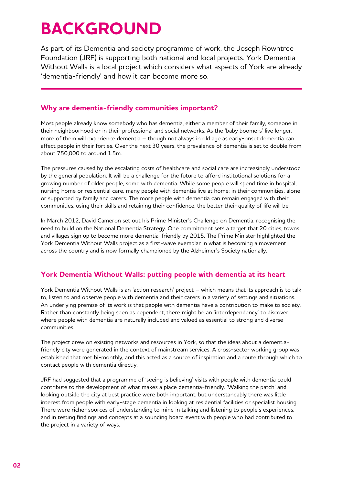# **BACKGROUND**

As part of its Dementia and society programme of work, the Joseph Rowntree Foundation (JRF) is supporting both national and local projects. York Dementia Without Walls is a local project which considers what aspects of York are already 'dementia-friendly' and how it can become more so.

# **Why are dementia-friendly communities important?**

Most people already know somebody who has dementia, either a member of their family, someone in their neighbourhood or in their professional and social networks. As the 'baby boomers' live longer, more of them will experience dementia – though not always in old age as early-onset dementia can affect people in their forties. Over the next 30 years, the prevalence of dementia is set to double from about 750,000 to around 1.5m.

The pressures caused by the escalating costs of healthcare and social care are increasingly understood by the general population. It will be a challenge for the future to afford institutional solutions for a growing number of older people, some with dementia. While some people will spend time in hospital, nursing home or residential care, many people with dementia live at home: in their communities, alone or supported by family and carers. The more people with dementia can remain engaged with their communities, using their skills and retaining their confidence, the better their quality of life will be.

In March 2012, David Cameron set out his Prime Minister's Challenge on Dementia, recognising the need to build on the National Dementia Strategy. One commitment sets a target that 20 cities, towns and villages sign up to become more dementia-friendly by 2015. The Prime Minister highlighted the York Dementia Without Walls project as a first-wave exemplar in what is becoming a movement across the country and is now formally championed by the Alzheimer's Society nationally.

# **York Dementia Without Walls: putting people with dementia at its heart**

York Dementia Without Walls is an 'action research' project – which means that its approach is to talk to, listen to and observe people with dementia and their carers in a variety of settings and situations. An underlying premise of its work is that people with dementia have a contribution to make to society. Rather than constantly being seen as dependent, there might be an 'interdependency' to discover where people with dementia are naturally included and valued as essential to strong and diverse communities.

The project drew on existing networks and resources in York, so that the ideas about a dementiafriendly city were generated in the context of mainstream services. A cross-sector working group was established that met bi-monthly, and this acted as a source of inspiration and a route through which to contact people with dementia directly.

JRF had suggested that a programme of 'seeing is believing' visits with people with dementia could contribute to the development of what makes a place dementia-friendly. 'Walking the patch' and looking outside the city at best practice were both important, but understandably there was little interest from people with early-stage dementia in looking at residential facilities or specialist housing. There were richer sources of understanding to mine in talking and listening to people's experiences, and in testing findings and concepts at a sounding board event with people who had contributed to the project in a variety of ways.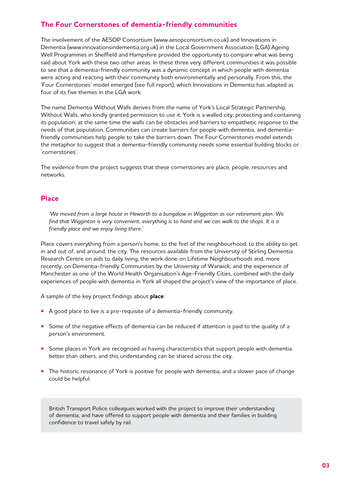# **The Four Cornerstones of dementia-friendly communities**

The involvement of the AESOP Consortium (www.aesopconsortium.co.uk) and Innovations in Dementia (www.innovationsindementia.org.uk) in the Local Government Association (LGA) Ageing Well Programmes in Sheffield and Hampshire provided the opportunity to compare what was being said about York with these two other areas. In these three very different communities it was possible to see that a dementia-friendly community was a dynamic concept in which people with dementia were acting and reacting with their community both environmentally and personally. From this, the 'Four Cornerstones' model emerged (see full report), which Innovations in Dementia has adapted as four of its five themes in the LGA work.

The name Dementia Without Walls derives from the name of York's Local Strategic Partnership, Without Walls, who kindly granted permission to use it. York is a walled city, protecting and containing its population; at the same time the walls can be obstacles and barriers to empathetic response to the needs of that population. Communities can create barriers for people with dementia, and dementiafriendly communities help people to take the barriers down. The Four Cornerstones model extends the metaphor to suggest that a dementia-friendly community needs some essential building blocks or 'cornerstones'.

The evidence from the project suggests that these cornerstones are place, people, resources and networks.

### **Place**

*'We moved from a large house in Heworth to a bungalow in Wigginton as our retirement plan. We find that Wigginton is very convenient, everything is to hand and we can walk to the shops. It is a friendly place and we enjoy living there.'* 

Place covers everything from a person's home, to the feel of the neighbourhood, to the ability to get in and out of, and around, the city. The resources available from the University of Stirling Dementia Research Centre on aids to daily living, the work done on Lifetime Neighbourhoods and, more recently, on Dementia-friendly Communities by the University of Warwick, and the experience of Manchester as one of the World Health Organisation's Age-Friendly Cities, combined with the daily experiences of people with dementia in York all shaped the project's view of the importance of place.

A sample of the key project findings about **place**:

- **•**  A good place to live is a pre-requisite of a dementia-friendly community.
- Some of the negative effects of dementia can be reduced if attention is paid to the quality of a person's environment.
- **•** Some places in York are recognised as having characteristics that support people with dementia better than others, and this understanding can be shared across the city.
- The historic resonance of York is positive for people with dementia, and a slower pace of change could be helpful.

British Transport Police colleagues worked with the project to improve their understanding of dementia, and have offered to support people with dementia and their families in building confidence to travel safely by rail.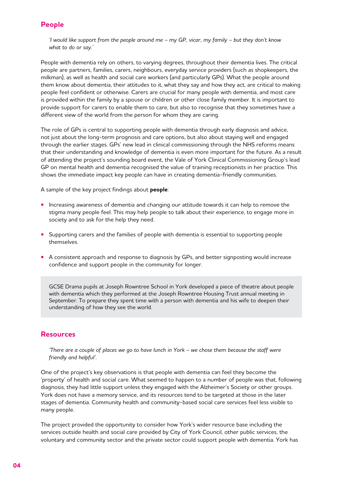# **People**

*'I would like support from the people around me – my GP, vicar, my family – but they don't know what to do or say.'* 

People with dementia rely on others, to varying degrees, throughout their dementia lives. The critical people are partners, families, carers, neighbours, everyday service providers (such as shopkeepers, the milkman), as well as health and social care workers (and particularly GPs). What the people around them know about dementia, their attitudes to it, what they say and how they act, are critical to making people feel confident or otherwise. Carers are crucial for many people with dementia, and most care is provided within the family by a spouse or children or other close family member. It is important to provide support for carers to enable them to care, but also to recognise that they sometimes have a different view of the world from the person for whom they are caring.

The role of GPs is central to supporting people with dementia through early diagnosis and advice, not just about the long-term prognosis and care options, but also about staying well and engaged through the earlier stages. GPs' new lead in clinical commissioning through the NHS reforms means that their understanding and knowledge of dementia is even more important for the future. As a result of attending the project's sounding board event, the Vale of York Clinical Commissioning Group's lead GP on mental health and dementia recognised the value of training receptionists in her practice. This shows the immediate impact key people can have in creating dementia-friendly communities.

A sample of the key project findings about **people**:

- **•** Increasing awareness of dementia and changing our attitude towards it can help to remove the stigma many people feel. This may help people to talk about their experience, to engage more in society and to ask for the help they need.
- Supporting carers and the families of people with dementia is essential to supporting people themselves.
- **•** A consistent approach and response to diagnosis by GPs, and better signposting would increase confidence and support people in the community for longer.

GCSE Drama pupils at Joseph Rowntree School in York developed a piece of theatre about people with dementia which they performed at the Joseph Rowntree Housing Trust annual meeting in September. To prepare they spent time with a person with dementia and his wife to deepen their understanding of how they see the world.

### **Resources**

*'There are a couple of places we go to have lunch in York – we chose them because the staff were friendly and helpful'.* 

One of the project's key observations is that people with dementia can feel they become the 'property' of health and social care. What seemed to happen to a number of people was that, following diagnosis, they had little support unless they engaged with the Alzheimer's Society or other groups. York does not have a memory service, and its resources tend to be targeted at those in the later stages of dementia. Community health and community-based social care services feel less visible to many people.

The project provided the opportunity to consider how York's wider resource base including the services outside health and social care provided by City of York Council, other public services, the voluntary and community sector and the private sector could support people with dementia. York has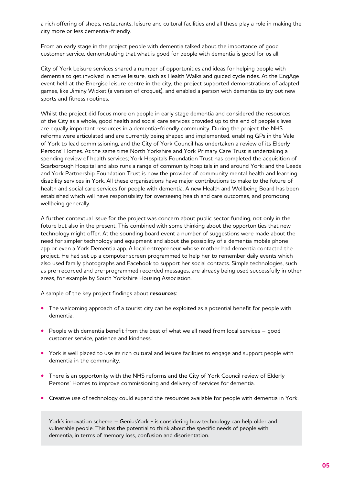a rich offering of shops, restaurants, leisure and cultural facilities and all these play a role in making the city more or less dementia-friendly.

From an early stage in the project people with dementia talked about the importance of good customer service, demonstrating that what is good for people with dementia is good for us all.

City of York Leisure services shared a number of opportunities and ideas for helping people with dementia to get involved in active leisure, such as Health Walks and guided cycle rides. At the EngAge event held at the Energise leisure centre in the city, the project supported demonstrations of adapted games, like Jiminy Wicket (a version of croquet), and enabled a person with dementia to try out new sports and fitness routines.

Whilst the project did focus more on people in early stage dementia and considered the resources of the City as a whole, good health and social care services provided up to the end of people's lives are equally important resources in a dementia-friendly community. During the project the NHS reforms were articulated and are currently being shaped and implemented, enabling GPs in the Vale of York to lead commissioning, and the City of York Council has undertaken a review of its Elderly Persons' Homes. At the same time North Yorkshire and York Primary Care Trust is undertaking a spending review of health services; York Hospitals Foundation Trust has completed the acquisition of Scarborough Hospital and also runs a range of community hospitals in and around York; and the Leeds and York Partnership Foundation Trust is now the provider of community mental health and learning disability services in York. All these organisations have major contributions to make to the future of health and social care services for people with dementia. A new Health and Wellbeing Board has been established which will have responsibility for overseeing health and care outcomes, and promoting wellbeing generally.

A further contextual issue for the project was concern about public sector funding, not only in the future but also in the present. This combined with some thinking about the opportunities that new technology might offer. At the sounding board event a number of suggestions were made about the need for simpler technology and equipment and about the possibility of a dementia mobile phone app or even a York Dementia app. A local entrepreneur whose mother had dementia contacted the project. He had set up a computer screen programmed to help her to remember daily events which also used family photographs and Facebook to support her social contacts. Simple technologies, such as pre-recorded and pre-programmed recorded messages, are already being used successfully in other areas, for example by South Yorkshire Housing Association.

A sample of the key project findings about **resources**:

- The welcoming approach of a tourist city can be exploited as a potential benefit for people with dementia.
- People with dementia benefit from the best of what we all need from local services good customer service, patience and kindness.
- York is well placed to use its rich cultural and leisure facilities to engage and support people with dementia in the community.
- **•** There is an opportunity with the NHS reforms and the City of York Council review of Elderly Persons' Homes to improve commissioning and delivery of services for dementia.
- **•** Creative use of technology could expand the resources available for people with dementia in York.

York's innovation scheme – GeniusYork - is considering how technology can help older and vulnerable people. This has the potential to think about the specific needs of people with dementia, in terms of memory loss, confusion and disorientation.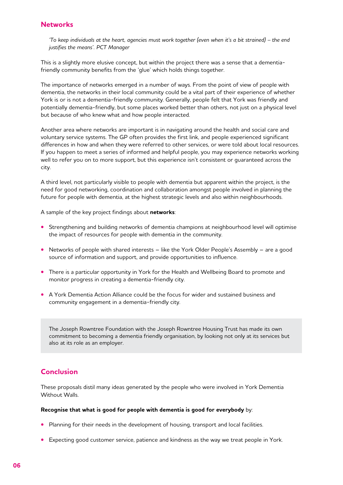## **Networks**

*'To keep individuals at the heart, agencies must work together (even when it's a bit strained) – the end justifies the means'. PCT Manager*

This is a slightly more elusive concept, but within the project there was a sense that a dementiafriendly community benefits from the 'glue' which holds things together.

The importance of networks emerged in a number of ways. From the point of view of people with dementia, the networks in their local community could be a vital part of their experience of whether York is or is not a dementia-friendly community. Generally, people felt that York was friendly and potentially dementia-friendly, but some places worked better than others, not just on a physical level but because of who knew what and how people interacted.

Another area where networks are important is in navigating around the health and social care and voluntary service systems. The GP often provides the first link, and people experienced significant differences in how and when they were referred to other services, or were told about local resources. If you happen to meet a series of informed and helpful people, you may experience networks working well to refer you on to more support, but this experience isn't consistent or guaranteed across the city.

A third level, not particularly visible to people with dementia but apparent within the project, is the need for good networking, coordination and collaboration amongst people involved in planning the future for people with dementia, at the highest strategic levels and also within neighbourhoods.

A sample of the key project findings about **networks**:

- **•** Strengthening and building networks of dementia champions at neighbourhood level will optimise the impact of resources for people with dementia in the community.
- Networks of people with shared interests like the York Older People's Assembly are a good source of information and support, and provide opportunities to influence.
- **•** There is a particular opportunity in York for the Health and Wellbeing Board to promote and monitor progress in creating a dementia-friendly city.
- **•**  A York Dementia Action Alliance could be the focus for wider and sustained business and community engagement in a dementia-friendly city.

The Joseph Rowntree Foundation with the Joseph Rowntree Housing Trust has made its own commitment to becoming a dementia friendly organisation, by looking not only at its services but also at its role as an employer.

## **Conclusion**

These proposals distil many ideas generated by the people who were involved in York Dementia Without Walls.

#### **Recognise that what is good for people with dementia is good for everybody** by:

- Planning for their needs in the development of housing, transport and local facilities.
- **•** Expecting good customer service, patience and kindness as the way we treat people in York.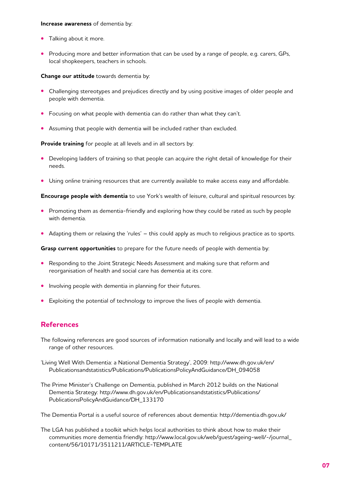#### **Increase awareness** of dementia by:

- **•**  Talking about it more.
- **•** Producing more and better information that can be used by a range of people, e.g. carers, GPs, local shopkeepers, teachers in schools.

#### **Change our attitude** towards dementia by:

- **•** Challenging stereotypes and prejudices directly and by using positive images of older people and people with dementia.
- **•** Focusing on what people with dementia can do rather than what they can't.
- **•** Assuming that people with dementia will be included rather than excluded.

**Provide training** for people at all levels and in all sectors by:

- **•**  Developing ladders of training so that people can acquire the right detail of knowledge for their needs.
- Using online training resources that are currently available to make access easy and affordable.

**Encourage people with dementia** to use York's wealth of leisure, cultural and spiritual resources by:

- **•**  Promoting them as dementia-friendly and exploring how they could be rated as such by people with dementia.
- Adapting them or relaxing the 'rules' this could apply as much to religious practice as to sports.

**Grasp current opportunities** to prepare for the future needs of people with dementia by:

- **•** Responding to the Joint Strategic Needs Assessment and making sure that reform and reorganisation of health and social care has dementia at its core.
- **•** Involving people with dementia in planning for their futures.
- **•**  Exploiting the potential of technology to improve the lives of people with dementia.

### **References**

- The following references are good sources of information nationally and locally and will lead to a wide range of other resources.
- 'Living Well With Dementia: a National Dementia Strategy', 2009: http://www.dh.gov.uk/en/ Publicationsandstatistics/Publications/PublicationsPolicyAndGuidance/DH\_094058
- The Prime Minister's Challenge on Dementia, published in March 2012 builds on the National Dementia Strategy: http://www.dh.gov.uk/en/Publicationsandstatistics/Publications/ PublicationsPolicyAndGuidance/DH\_133170

The Dementia Portal is a useful source of references about dementia: http://dementia.dh.gov.uk/

The LGA has published a toolkit which helps local authorities to think about how to make their communities more dementia friendly: http://www.local.gov.uk/web/guest/ageing-well/-/journal\_ content/56/10171/3511211/ARTICLE-TEMPLATE